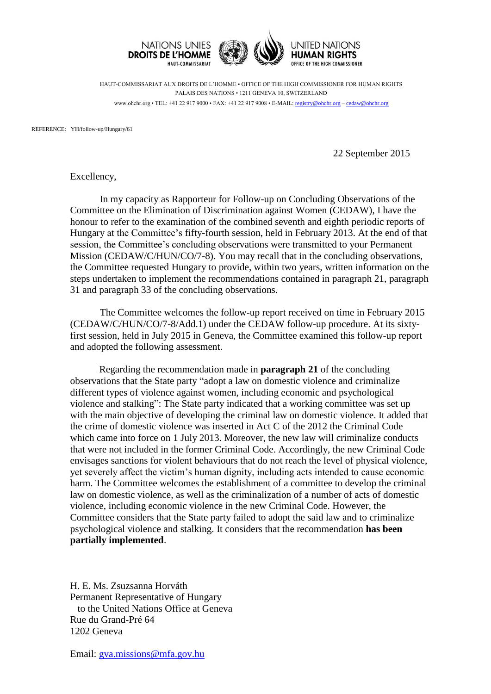

HAUT-COMMISSARIAT AUX DROITS DE L'HOMME • OFFICE OF THE HIGH COMMISSIONER FOR HUMAN RIGHTS PALAIS DES NATIONS • 1211 GENEVA 10, SWITZERLAND www.ohchr.org • TEL: +41 22 917 9000 • FAX: +41 22 917 9008 • E-MAIL: [registry@ohchr.org](mailto:registry@ohchr.org) – [cedaw@ohchr.org](mailto:cedaw@ohchr.org)

REFERENCE: YH/follow-up/Hungary/61

22 September 2015

Excellency,

In my capacity as Rapporteur for Follow-up on Concluding Observations of the Committee on the Elimination of Discrimination against Women (CEDAW), I have the honour to refer to the examination of the combined seventh and eighth periodic reports of Hungary at the Committee's fifty-fourth session, held in February 2013. At the end of that session, the Committee's concluding observations were transmitted to your Permanent Mission (CEDAW/C/HUN/CO/7-8). You may recall that in the concluding observations, the Committee requested Hungary to provide, within two years, written information on the steps undertaken to implement the recommendations contained in paragraph 21, paragraph 31 and paragraph 33 of the concluding observations.

The Committee welcomes the follow-up report received on time in February 2015 (CEDAW/C/HUN/CO/7-8/Add.1) under the CEDAW follow-up procedure. At its sixtyfirst session, held in July 2015 in Geneva, the Committee examined this follow-up report and adopted the following assessment.

Regarding the recommendation made in **paragraph 21** of the concluding observations that the State party "adopt a law on domestic violence and criminalize different types of violence against women, including economic and psychological violence and stalking": The State party indicated that a working committee was set up with the main objective of developing the criminal law on domestic violence. It added that the crime of domestic violence was inserted in Act C of the 2012 the Criminal Code which came into force on 1 July 2013. Moreover, the new law will criminalize conducts that were not included in the former Criminal Code. Accordingly, the new Criminal Code envisages sanctions for violent behaviours that do not reach the level of physical violence, yet severely affect the victim's human dignity, including acts intended to cause economic harm. The Committee welcomes the establishment of a committee to develop the criminal law on domestic violence, as well as the criminalization of a number of acts of domestic violence, including economic violence in the new Criminal Code. However, the Committee considers that the State party failed to adopt the said law and to criminalize psychological violence and stalking. It considers that the recommendation **has been partially implemented**.

H. E. Ms. Zsuzsanna Horváth Permanent Representative of Hungary to the United Nations Office at Geneva Rue du Grand-Pré 64 1202 Geneva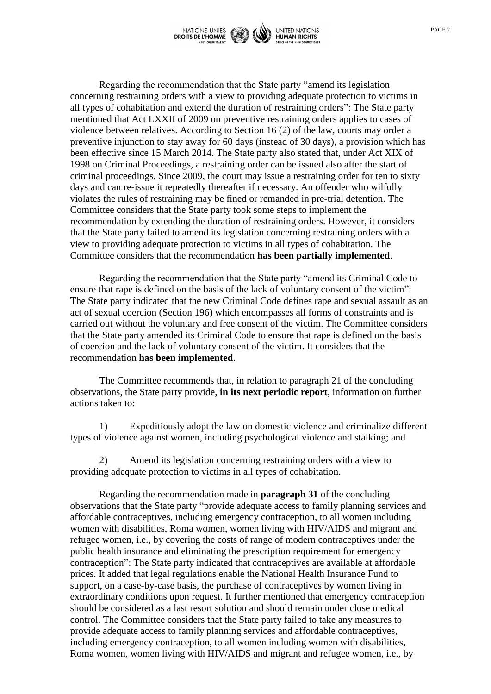

Regarding the recommendation that the State party "amend its legislation concerning restraining orders with a view to providing adequate protection to victims in all types of cohabitation and extend the duration of restraining orders": The State party mentioned that Act LXXII of 2009 on preventive restraining orders applies to cases of violence between relatives. According to Section 16 (2) of the law, courts may order a preventive injunction to stay away for 60 days (instead of 30 days), a provision which has been effective since 15 March 2014. The State party also stated that, under Act XIX of 1998 on Criminal Proceedings, a restraining order can be issued also after the start of criminal proceedings. Since 2009, the court may issue a restraining order for ten to sixty days and can re-issue it repeatedly thereafter if necessary. An offender who wilfully violates the rules of restraining may be fined or remanded in pre-trial detention. The Committee considers that the State party took some steps to implement the recommendation by extending the duration of restraining orders. However, it considers that the State party failed to amend its legislation concerning restraining orders with a view to providing adequate protection to victims in all types of cohabitation. The Committee considers that the recommendation **has been partially implemented**.

Regarding the recommendation that the State party "amend its Criminal Code to ensure that rape is defined on the basis of the lack of voluntary consent of the victim": The State party indicated that the new Criminal Code defines rape and sexual assault as an act of sexual coercion (Section 196) which encompasses all forms of constraints and is carried out without the voluntary and free consent of the victim. The Committee considers that the State party amended its Criminal Code to ensure that rape is defined on the basis of coercion and the lack of voluntary consent of the victim. It considers that the recommendation **has been implemented**.

The Committee recommends that, in relation to paragraph 21 of the concluding observations, the State party provide, **in its next periodic report**, information on further actions taken to:

1) Expeditiously adopt the law on domestic violence and criminalize different types of violence against women, including psychological violence and stalking; and

2) Amend its legislation concerning restraining orders with a view to providing adequate protection to victims in all types of cohabitation.

Regarding the recommendation made in **paragraph 31** of the concluding observations that the State party "provide adequate access to family planning services and affordable contraceptives, including emergency contraception, to all women including women with disabilities, Roma women, women living with HIV/AIDS and migrant and refugee women, i.e., by covering the costs of range of modern contraceptives under the public health insurance and eliminating the prescription requirement for emergency contraception": The State party indicated that contraceptives are available at affordable prices. It added that legal regulations enable the National Health Insurance Fund to support, on a case-by-case basis, the purchase of contraceptives by women living in extraordinary conditions upon request. It further mentioned that emergency contraception should be considered as a last resort solution and should remain under close medical control. The Committee considers that the State party failed to take any measures to provide adequate access to family planning services and affordable contraceptives, including emergency contraception, to all women including women with disabilities, Roma women, women living with HIV/AIDS and migrant and refugee women, i.e., by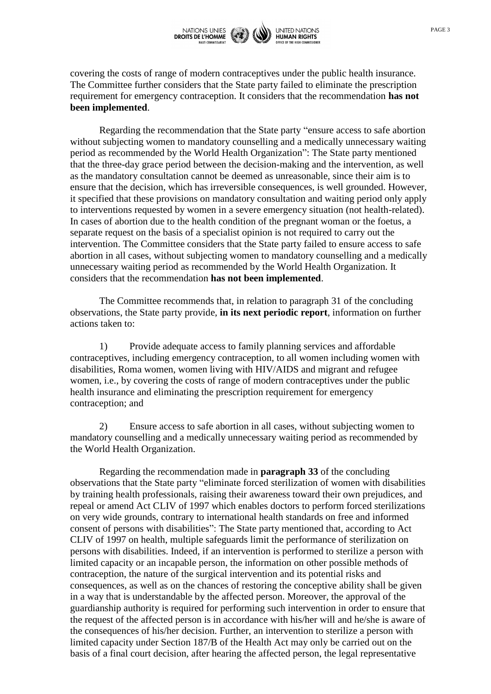

covering the costs of range of modern contraceptives under the public health insurance. The Committee further considers that the State party failed to eliminate the prescription requirement for emergency contraception. It considers that the recommendation **has not been implemented**.

Regarding the recommendation that the State party "ensure access to safe abortion without subjecting women to mandatory counselling and a medically unnecessary waiting period as recommended by the World Health Organization": The State party mentioned that the three-day grace period between the decision-making and the intervention, as well as the mandatory consultation cannot be deemed as unreasonable, since their aim is to ensure that the decision, which has irreversible consequences, is well grounded. However, it specified that these provisions on mandatory consultation and waiting period only apply to interventions requested by women in a severe emergency situation (not health-related). In cases of abortion due to the health condition of the pregnant woman or the foetus, a separate request on the basis of a specialist opinion is not required to carry out the intervention. The Committee considers that the State party failed to ensure access to safe abortion in all cases, without subjecting women to mandatory counselling and a medically unnecessary waiting period as recommended by the World Health Organization. It considers that the recommendation **has not been implemented**.

The Committee recommends that, in relation to paragraph 31 of the concluding observations, the State party provide, **in its next periodic report**, information on further actions taken to:

1) Provide adequate access to family planning services and affordable contraceptives, including emergency contraception, to all women including women with disabilities, Roma women, women living with HIV/AIDS and migrant and refugee women, i.e., by covering the costs of range of modern contraceptives under the public health insurance and eliminating the prescription requirement for emergency contraception; and

2) Ensure access to safe abortion in all cases, without subjecting women to mandatory counselling and a medically unnecessary waiting period as recommended by the World Health Organization.

Regarding the recommendation made in **paragraph 33** of the concluding observations that the State party "eliminate forced sterilization of women with disabilities by training health professionals, raising their awareness toward their own prejudices, and repeal or amend Act CLIV of 1997 which enables doctors to perform forced sterilizations on very wide grounds, contrary to international health standards on free and informed consent of persons with disabilities": The State party mentioned that, according to Act CLIV of 1997 on health, multiple safeguards limit the performance of sterilization on persons with disabilities. Indeed, if an intervention is performed to sterilize a person with limited capacity or an incapable person, the information on other possible methods of contraception, the nature of the surgical intervention and its potential risks and consequences, as well as on the chances of restoring the conceptive ability shall be given in a way that is understandable by the affected person. Moreover, the approval of the guardianship authority is required for performing such intervention in order to ensure that the request of the affected person is in accordance with his/her will and he/she is aware of the consequences of his/her decision. Further, an intervention to sterilize a person with limited capacity under Section 187/B of the Health Act may only be carried out on the basis of a final court decision, after hearing the affected person, the legal representative